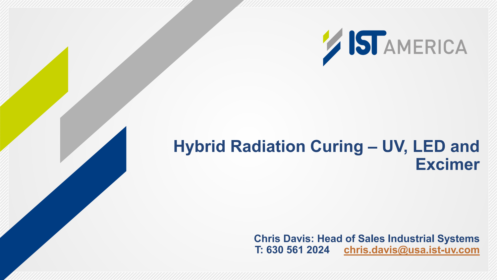

### **Hybrid Radiation Curing – UV, LED and Excimer**

**Chris Davis: Head of Sales Industrial Systems T: 630 561 2024 [chris.davis@usa.ist-uv.com](mailto:chris.davis@usa.ist-uv.com)**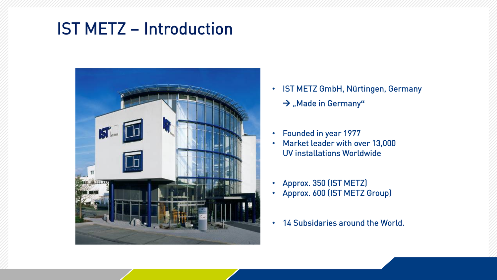## IST METZ – Introduction



- IST METZ GmbH, Nürtingen, Germany
	- $\rightarrow$  "Made in Germany"
- Founded in year 1977
- Market leader with over 13,000 UV installations Worldwide
- Approx. 350 (IST METZ)
- Approx. 600 (IST METZ Group)
- 14 Subsidaries around the World.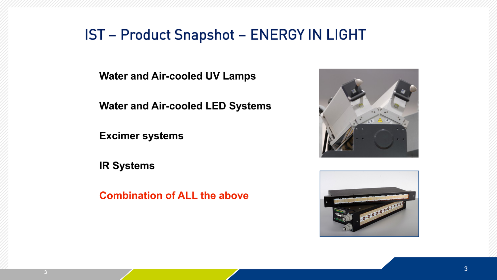#### IST – Product Snapshot – ENERGY IN LIGHT

**Water and Air-cooled UV Lamps**

**Water and Air-cooled LED Systems**

**Excimer systems**

**IR Systems**

**Combination of ALL the above**



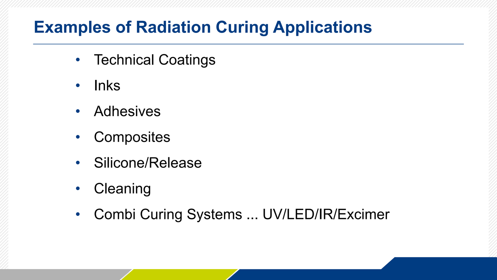# **Examples of Radiation Curing Applications**

- Technical Coatings
- Inks
- Adhesives
- Composites
- Silicone/Release
- Cleaning
- Combi Curing Systems ... UV/LED/IR/Excimer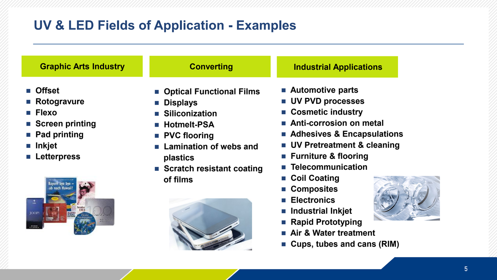#### **UV & LED Fields of Application - Examples**

| <b>Graphic Arts Industry</b>                                                                                                                                                         | <b>Converting</b>                                                                                                                                                                                                                            | <b>Industrial Applications</b>                                                                                                                                                                                                                                                                                                                                             |
|--------------------------------------------------------------------------------------------------------------------------------------------------------------------------------------|----------------------------------------------------------------------------------------------------------------------------------------------------------------------------------------------------------------------------------------------|----------------------------------------------------------------------------------------------------------------------------------------------------------------------------------------------------------------------------------------------------------------------------------------------------------------------------------------------------------------------------|
| ■ Offset<br>■ Rotogravure<br>$\blacksquare$ Flexo<br>■ Screen printing<br>■ Pad printing<br>$\blacksquare$ Inkjet<br><b>Letterpress</b><br>Bavern bye bye.<br>ab nach Hawai<br>JOOP: | • Optical Functional Films<br><b>Displays</b><br>$\mathcal{L}_{\mathcal{A}}$<br>■ Siliconization<br><b>Hotmelt-PSA</b><br><b>PVC flooring</b><br><b>Lamination of webs and</b><br><b>plastics</b><br>■ Scratch resistant coating<br>of films | ■ Automotive parts<br><b>UV PVD processes</b><br>■ Cosmetic industry<br>Anti-corrosion on metal<br>■ Adhesives & Encapsulations<br>■ UV Pretreatment & cleaning<br>■ Furniture & flooring<br>■ Telecommunication<br>■ Coil Coating<br>■ Composites<br>■ Electronics<br>■ Industrial Inkjet<br>■ Rapid Prototyping<br>Air & Water treatment<br>■ Cups, tubes and cans (RIM) |
|                                                                                                                                                                                      |                                                                                                                                                                                                                                              |                                                                                                                                                                                                                                                                                                                                                                            |

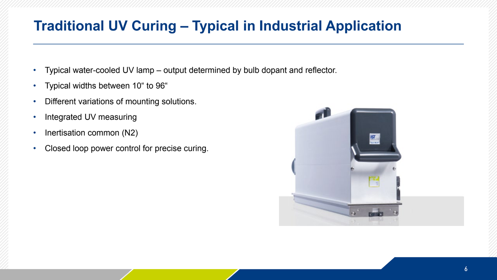#### **Traditional UV Curing – Typical in Industrial Application**

- Typical water-cooled UV lamp output determined by bulb dopant and reflector.
- Typical widths between 10" to 96"
- Different variations of mounting solutions.
- Integrated UV measuring
- Inertisation common (N2)
- Closed loop power control for precise curing.

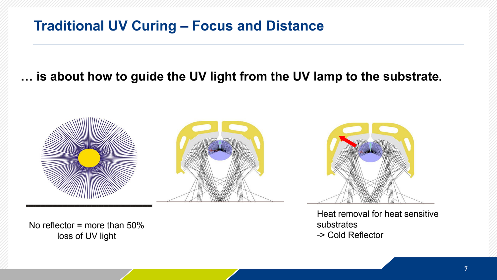#### **Traditional UV Curing – Focus and Distance**

#### **… is about how to guide the UV light from the UV lamp to the substrate.**



No reflector = more than 50% loss of UV light

Heat removal for heat sensitive substrates -> Cold Reflector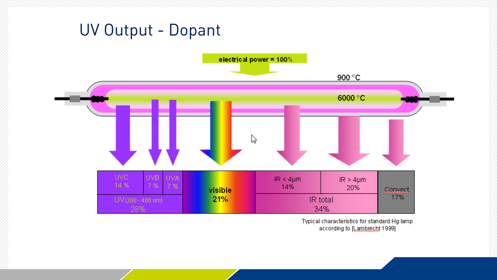## UV Output - Dopant



Typical characteristics for standard Hg lamp according to [Lambrecht 1999]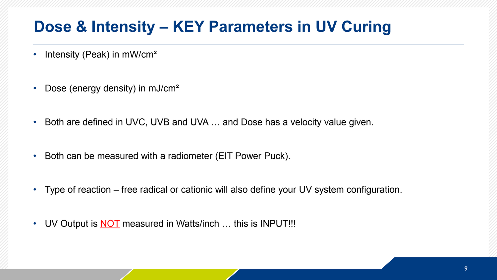### **Dose & Intensity – KEY Parameters in UV Curing**

- Intensity (Peak) in mW/cm<sup>2</sup>
- Dose (energy density) in mJ/cm<sup>2</sup>
- Both are defined in UVC, UVB and UVA … and Dose has a velocity value given.
- Both can be measured with a radiometer (EIT Power Puck).
- Type of reaction free radical or cationic will also define your UV system configuration.
- UV Output is **NOT** measured in Watts/inch ... this is INPUT!!!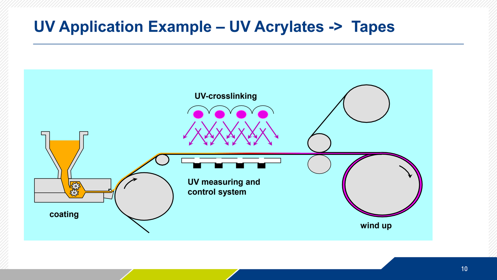#### **UV Application Example – UV Acrylates -> Tapes**

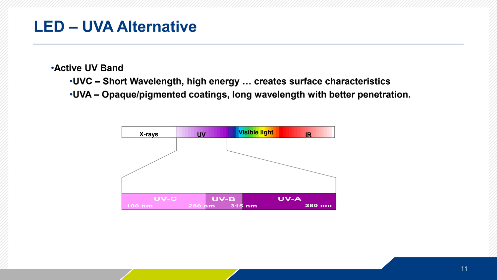#### **LED – UVA Alternative**

•**Active UV Band**

- •**UVC – Short Wavelength, high energy … creates surface characteristics**
- •**UVA – Opaque/pigmented coatings, long wavelength with better penetration.**

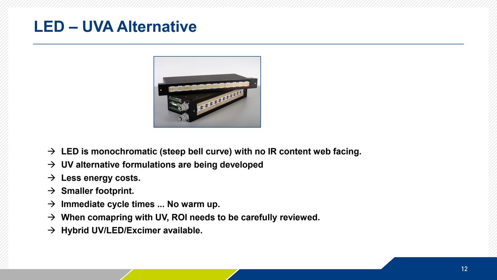### **LED – UVA Alternative**



- **LED is monochromatic (steep bell curve) with no IR content web facing.**
- **UV alternative formulations are being developed**
- **Less energy costs.**
- $\rightarrow$  Smaller footprint.
- $\rightarrow$  Immediate cycle times ... No warm up.
- **When comapring with UV, ROI needs to be carefully reviewed.**
- **Hybrid UV/LED/Excimer available.**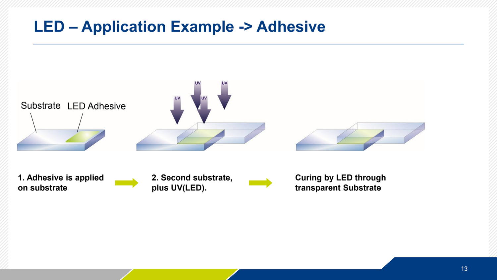#### **LED – Application Example -> Adhesive**

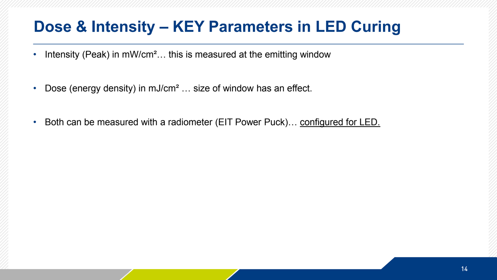## **Dose & Intensity – KEY Parameters in LED Curing**

- Intensity (Peak) in mW/cm<sup>2</sup>... this is measured at the emitting window
- Dose (energy density) in mJ/cm<sup>2</sup> ... size of window has an effect.
- Both can be measured with a radiometer (EIT Power Puck)... configured for LED.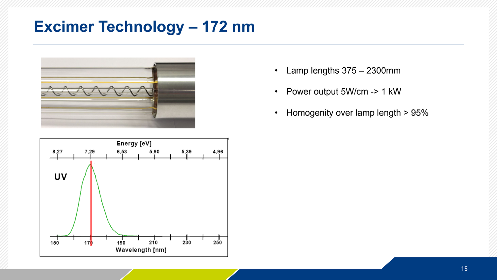#### **Excimer Technology – 172 nm**



Energy [eV]  $8,27$ 7,29 6,53 5,90 5,39 4,96 UV 250 150 230  $17$ 210 190 Wavelength [nm]

- Lamp lengths 375 2300mm
- Power output 5W/cm -> 1 kW
- Homogenity over lamp length > 95%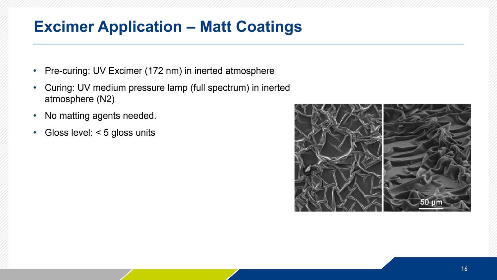#### **Excimer Application – Matt Coatings**

- Pre-curing: UV Excimer (172 nm) in inerted atmosphere
- Curing: UV medium pressure lamp (full spectrum) in inerted atmosphere (N2)
- No matting agents needed.
- Gloss level: < 5 gloss units

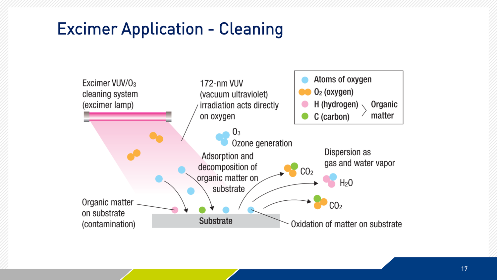# Excimer Application - Cleaning

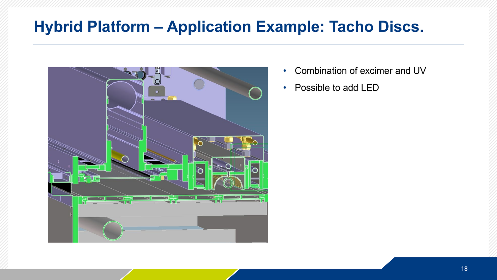#### **Hybrid Platform – Application Example: Tacho Discs.**



- Combination of excimer and UV
- Possible to add LED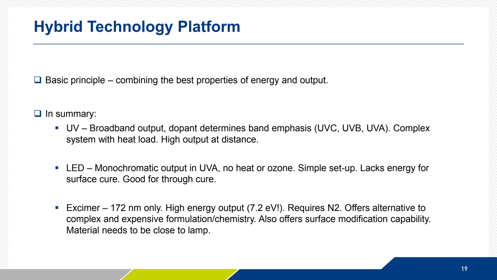$\Box$  Basic principle – combining the best properties of energy and output.

- $\Box$  In summary:
	- UV Broadband output, dopant determines band emphasis (UVC, UVB, UVA). Complex system with heat load. High output at distance.
	- LED Monochromatic output in UVA, no heat or ozone. Simple set-up. Lacks energy for surface cure. Good for through cure.
	- Excimer 172 nm only. High energy output (7.2 eV!). Requires N2. Offers alternative to complex and expensive formulation/chemistry. Also offers surface modification capability. Material needs to be close to lamp.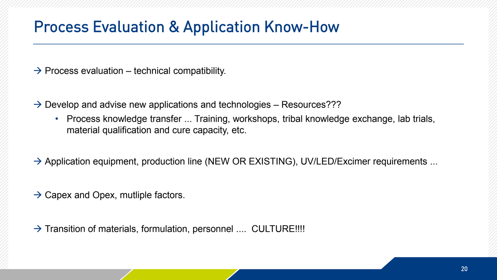#### Process Evaluation & Application Know-How

 $\rightarrow$  Process evaluation – technical compatibility.

 $\rightarrow$  Develop and advise new applications and technologies – Resources???

- Process knowledge transfer ... Training, workshops, tribal knowledge exchange, lab trials, material qualification and cure capacity, etc.
- $\rightarrow$  Application equipment, production line (NEW OR EXISTING), UV/LED/Excimer requirements ...
- $\rightarrow$  Capex and Opex, mutliple factors.

 $\rightarrow$  Transition of materials, formulation, personnel .... CULTURE!!!!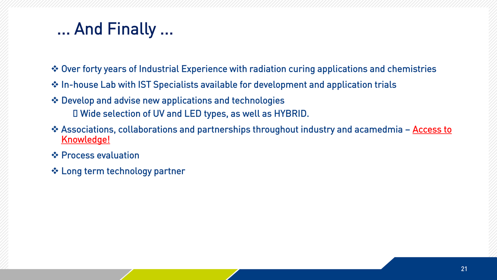# ... And Finally ...

- Over forty years of Industrial Experience with radiation curing applications and chemistries
- $\triangle$  In-house Lab with IST Specialists available for development and application trials
- Develop and advise new applications and technologies  $\Box$  Wide selection of UV and LED types, as well as HYBRID.
- ❖ Associations, collaborations and partnerships throughout industry and acamedmia Access to Knowledge!
- $\div$  **Process evaluation**
- Long term technology partner